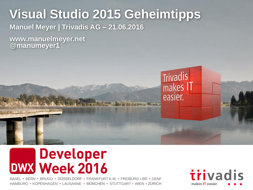## **Visual Studio 2015 Geheimtipps**

**Manuel Meyer | Trivadis AG – 21.06.2016**

**www.manuelmeyer.net @manumeyer1**



BASEL • BERN • BRUGG • DÜSSELDORF • FRANKFURT A.M. • FREIBURG I.BR. • GENF HAMBURG • KOPENHAGEN • LAUSANNE • MÜNCHEN • STUTTGART • WIEN • ZÜRICH



Trivadis<br>makes IT

easier.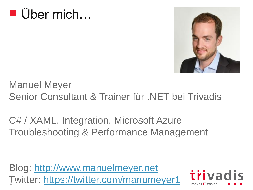



Manuel Meyer Senior Consultant & Trainer für .NET bei Trivadis

C# / XAML, Integration, Microsoft Azure Troubleshooting & Performance Management

Blog: [http://www.manuelmeyer.net](http://www.manuelmeyer.net/) Twitter: <https://twitter.com/manumeyer1>

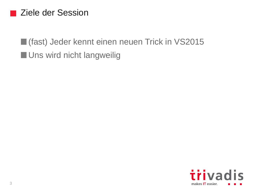#### Ziele der Session

(fast) Jeder kennt einen neuen Trick in VS2015 **Uns wird nicht langweilig** 

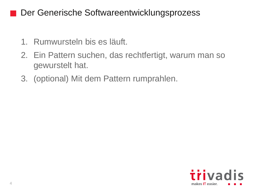#### Der Generische Softwareentwicklungsprozess

- 1. Rumwursteln bis es läuft.
- 2. Ein Pattern suchen, das rechtfertigt, warum man so gewurstelt hat.
- 3. (optional) Mit dem Pattern rumprahlen.

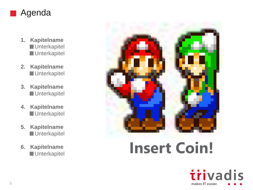

- **1. Kapitelname Unterkapitel Unterkapitel**
- **2. Kapitelname Unterkapitel**
- **3. Kapitelname Unterkapitel**
- **4. Kapitelname Unterkapitel**
- **5. Kapitelname Unterkapitel**
- **6. Kapitelname**



# Kapitelname **Insert Coin!**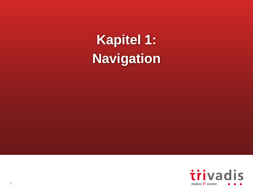**Navigation Kapitel 1:**

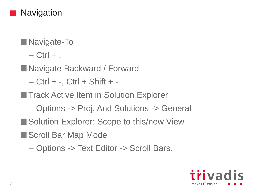

- **Navigate-To** 
	- $-$  Ctrl  $+$ ,
- Navigate Backward / Forward
	- $-$  Ctrl  $+$  -, Ctrl  $+$  Shift  $+$  -
- **Track Active Item in Solution Explorer** 
	- Options -> Proj. And Solutions -> General
- Solution Explorer: Scope to this/new View
- Scroll Bar Map Mode
	- Options -> Text Editor -> Scroll Bars.

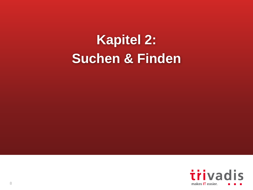# **Suchen & Finden Kapitel 2:**

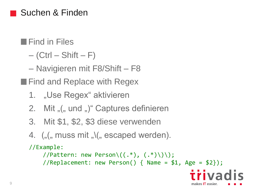#### Suchen & Finden

**Find in Files** 

 $-$  (Ctrl – Shift – F)

– Navigieren mit F8/Shift – F8

**Find and Replace with Regex** 

- 1. "Use Regex" aktivieren
- 2. Mit "(" und ")" Captures definieren
- 3. Mit \$1, \$2, \$3 diese verwenden
- 4.  $($  ,  $($  , muss mit  $,$   $\setminus$   $($  , escaped werden).

```
//Example:
```
//Pattern: new Person $\setminus ((.*)$ ,  $(.*)\setminus)\setminus$ ;

//Replacement: new Person() { Name =  $$1, Age = $2}$ ;

triva

makes **IT** easier.

9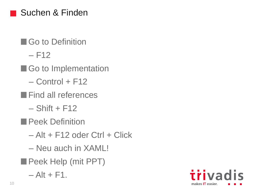### Suchen & Finden

- **Go to Definition** 
	- $-$  F12
- Go to Implementation
	- $-$  Control + F12
- **Find all references** 
	- $-$  Shift + F12
- **Peek Definition** 
	- $-$  Alt + F12 oder Ctrl + Click
	- Neu auch in XAML!
- **Peek Help (mit PPT)** 
	- $-$  Alt + F1.

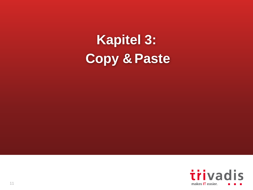**Copy & Paste Kapitel 3:**

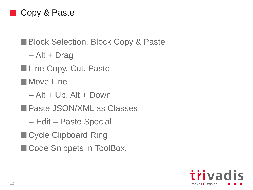#### Copy & Paste

### **Block Selection, Block Copy & Paste**

– Alt + Drag

Line Copy, Cut, Paste

**Nove Line** 

- $-$  Alt + Up, Alt + Down
- **Paste JSON/XML as Classes** 
	- Edit Paste Special
- Cycle Clipboard Ring
- Code Snippets in ToolBox.

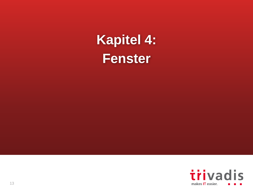**Fenster Kapitel 4:**

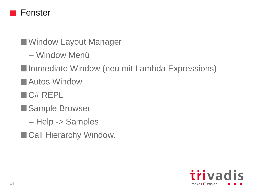

■Window Layout Manager

– Window Menü

- **I**Immediate Window (neu mit Lambda Expressions)
- Autos Window
- **C# REPL**
- Sample Browser
	- Help -> Samples
- Call Hierarchy Window.

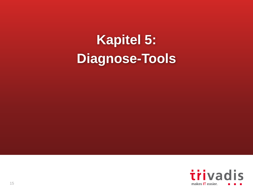# **Diagnose-Tools Kapitel 5:**

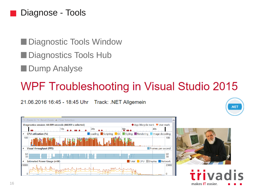#### Diagnose - Tools

Diagnostic Tools Window

- Diagnostics Tools Hub
- **Dump Analyse**

## WPF Troubleshooting in Visual Studio 2015

21.06.2016 16:45 - 18:45 Uhr Track: .NET Allgemein







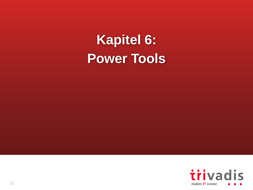**Power Tools Kapitel 6:**

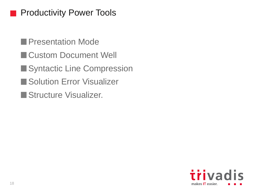#### Productivity Power Tools

**Presentation Mode** 

- **Custom Document Well**
- Syntactic Line Compression
- **Solution Error Visualizer**
- Structure Visualizer.

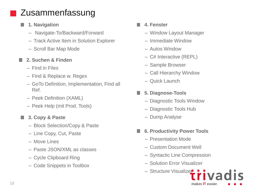### Zusammenfassung

- **1. Navigation**
	- Navigate-To/Backward/Forward
	- Track Active Item in Solution Explorer
	- Scroll Bar Map Mode

#### **2. Suchen & Finden**

- Find in Files
- Find & Replace w. Regex
- GoTo Definition, Implementation, Find all Ref.
- Peek Definition (XAML)
- Peek Help (mit Prod. Tools)

#### **3. Copy & Paste**

- Block Selection/Copy & Paste
- Line Copy, Cut, Paste
- Move Lines
- Paste JSON/XML as classes
- Cycle Clipboard Ring
- Code Snippets in Toolbox

#### **4. Fenster**

- Window Layout Manager
- Immediate Window
- Autos Window
- C# Interactive (REPL)
- Sample Browser
- Call Hierarchy Window
- Quick Launch
- **5. Diagnose-Tools** 
	- Diagnostic Tools Window
	- Diagnostic Tools Hub
	- Dump Analyse
- **6. Productivity Power Tools**
	- Presentation Mode
	- Custom Document Well
	- Syntactic Line Compression
	- Solution Error Visualizer
	- $-$  Structure Visualize $\blacksquare$

makes **IT** easier